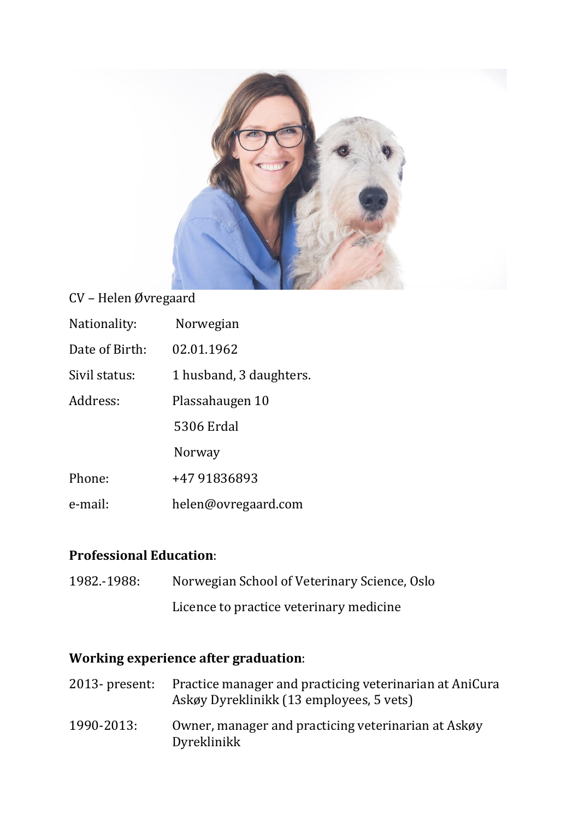

## CV – Helen Øvregaard

| Nationality:   | Norwegian               |
|----------------|-------------------------|
| Date of Birth: | 02.01.1962              |
| Sivil status:  | 1 husband, 3 daughters. |
| Address:       | Plassahaugen 10         |
|                | 5306 Erdal              |
|                | Norway                  |
| Phone:         | +47 91836893            |
| e-mail:        | helen@ovregaard.com     |

### **Professional Education**:

1982.-1988: Norwegian School of Veterinary Science, Oslo Licence to practice veterinary medicine

## **Working experience after graduation**:

| $2013$ - present: | Practice manager and practicing veterinarian at AniCura<br>Askøy Dyreklinikk (13 employees, 5 vets) |
|-------------------|-----------------------------------------------------------------------------------------------------|
| 1990-2013:        | Owner, manager and practicing veterinarian at Askøy<br>Dyreklinikk                                  |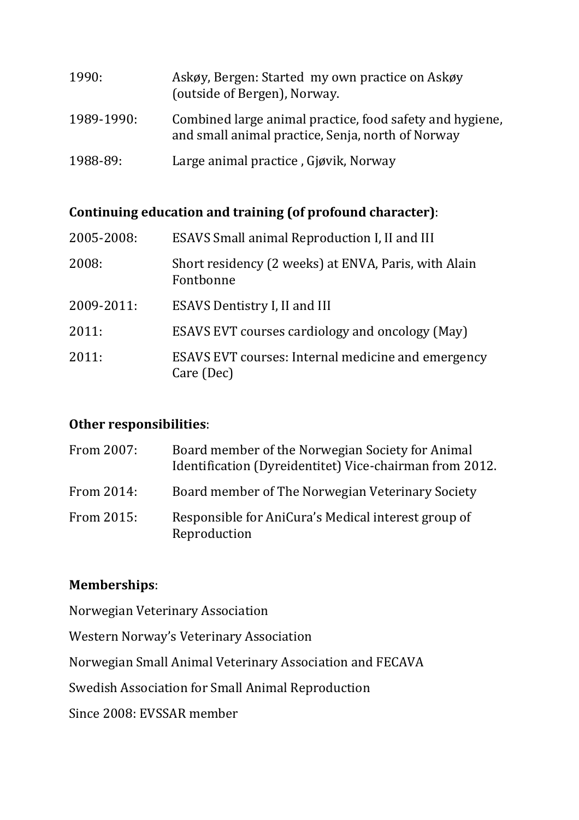| 1990:      | Askøy, Bergen: Started my own practice on Askøy<br>(outside of Bergen), Norway.                               |
|------------|---------------------------------------------------------------------------------------------------------------|
| 1989-1990: | Combined large animal practice, food safety and hygiene,<br>and small animal practice, Senja, north of Norway |
| 1988-89:   | Large animal practice, Gjøvik, Norway                                                                         |

# **Continuing education and training (of profound character)**:

| 2005-2008: | ESAVS Small animal Reproduction I, II and III                     |
|------------|-------------------------------------------------------------------|
| 2008:      | Short residency (2 weeks) at ENVA, Paris, with Alain<br>Fontbonne |
| 2009-2011: | ESAVS Dentistry I, II and III                                     |
| 2011:      | <b>ESAVS EVT courses cardiology and oncology (May)</b>            |
| 2011:      | ESAVS EVT courses: Internal medicine and emergency<br>Care (Dec)  |

# **Other responsibilities**:

| From 2007: | Board member of the Norwegian Society for Animal<br>Identification (Dyreidentitet) Vice-chairman from 2012. |
|------------|-------------------------------------------------------------------------------------------------------------|
| From 2014: | Board member of The Norwegian Veterinary Society                                                            |
| From 2015: | Responsible for AniCura's Medical interest group of<br>Reproduction                                         |

# **Memberships**:

| Norwegian Veterinary Association                         |
|----------------------------------------------------------|
| Western Norway's Veterinary Association                  |
| Norwegian Small Animal Veterinary Association and FECAVA |
| Swedish Association for Small Animal Reproduction        |
| Since 2008: EVSSAR member                                |